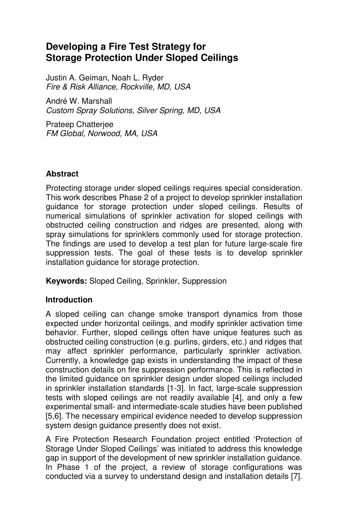# **Developing a Fire Test Strategy for Storage Protection Under Sloped Ceilings**

Justin A. Geiman, Noah L. Ryder Fire & Risk Alliance, Rockville, MD, USA

André W. Marshall Custom Spray Solutions, Silver Spring, MD, USA

Prateep Chatterjee FM Global, Norwood, MA, USA

# **Abstract**

Protecting storage under sloped ceilings requires special consideration. This work describes Phase 2 of a project to develop sprinkler installation guidance for storage protection under sloped ceilings. Results of numerical simulations of sprinkler activation for sloped ceilings with obstructed ceiling construction and ridges are presented, along with spray simulations for sprinklers commonly used for storage protection. The findings are used to develop a test plan for future large-scale fire suppression tests. The goal of these tests is to develop sprinkler installation guidance for storage protection.

**Keywords:** Sloped Ceiling, Sprinkler, Suppression

### **Introduction**

A sloped ceiling can change smoke transport dynamics from those expected under horizontal ceilings, and modify sprinkler activation time behavior. Further, sloped ceilings often have unique features such as obstructed ceiling construction (e.g. purlins, girders, etc.) and ridges that may affect sprinkler performance, particularly sprinkler activation. Currently, a knowledge gap exists in understanding the impact of these construction details on fire suppression performance. This is reflected in the limited guidance on sprinkler design under sloped ceilings included in sprinkler installation standards [1-3]. In fact, large-scale suppression tests with sloped ceilings are not readily available [4], and only a few experimental small- and intermediate-scale studies have been published [5,6]. The necessary empirical evidence needed to develop suppression system design guidance presently does not exist.

A Fire Protection Research Foundation project entitled 'Protection of Storage Under Sloped Ceilings' was initiated to address this knowledge gap in support of the development of new sprinkler installation guidance. In Phase 1 of the project, a review of storage configurations was conducted via a survey to understand design and installation details [7].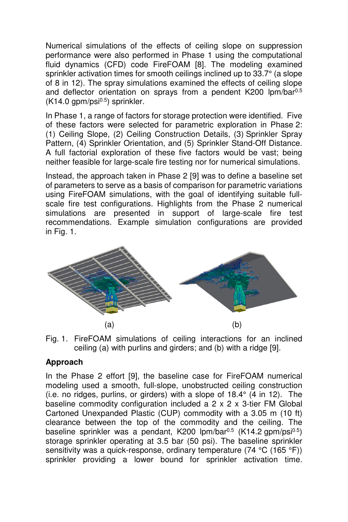Numerical simulations of the effects of ceiling slope on suppression performance were also performed in Phase 1 using the computational fluid dynamics (CFD) code FireFOAM [8]. The modeling examined sprinkler activation times for smooth ceilings inclined up to 33.7° (a slope of 8 in 12). The spray simulations examined the effects of ceiling slope and deflector orientation on sprays from a pendent K200  $\text{lpm}/\text{bar}^{0.5}$  $(K14.0 gpm/psi^{0.5})$  sprinkler.

In Phase 1, a range of factors for storage protection were identified. Five of these factors were selected for parametric exploration in Phase 2: (1) Ceiling Slope, (2) Ceiling Construction Details, (3) Sprinkler Spray Pattern, (4) Sprinkler Orientation, and (5) Sprinkler Stand-Off Distance. A full factorial exploration of these five factors would be vast; being neither feasible for large-scale fire testing nor for numerical simulations.

Instead, the approach taken in Phase 2 [9] was to define a baseline set of parameters to serve as a basis of comparison for parametric variations using FireFOAM simulations, with the goal of identifying suitable fullscale fire test configurations. Highlights from the Phase 2 numerical simulations are presented in support of large-scale fire test recommendations. Example simulation configurations are provided in Fig. 1.



Fig. 1. FireFOAM simulations of ceiling interactions for an inclined ceiling (a) with purlins and girders; and (b) with a ridge [9].

### **Approach**

In the Phase 2 effort [9], the baseline case for FireFOAM numerical modeling used a smooth, full-slope, unobstructed ceiling construction (i.e. no ridges, purlins, or girders) with a slope of 18.4° (4 in 12). The baseline commodity configuration included a 2 x 2 x 3-tier FM Global Cartoned Unexpanded Plastic (CUP) commodity with a 3.05 m (10 ft) clearance between the top of the commodity and the ceiling. The baseline sprinkler was a pendant, K200  $\mu$ m/bar<sup>0.5</sup> (K14.2 gpm/psi<sup>0.5</sup>) storage sprinkler operating at 3.5 bar (50 psi). The baseline sprinkler sensitivity was a quick-response, ordinary temperature (74 °C (165 °F)) sprinkler providing a lower bound for sprinkler activation time.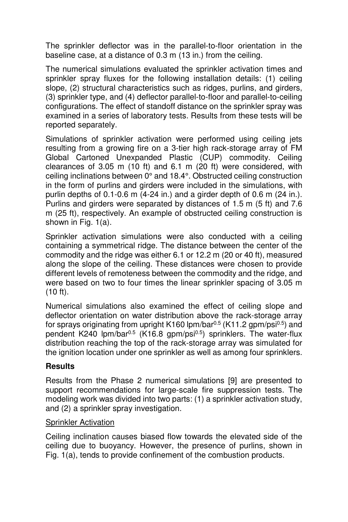The sprinkler deflector was in the parallel-to-floor orientation in the baseline case, at a distance of 0.3 m (13 in.) from the ceiling.

The numerical simulations evaluated the sprinkler activation times and sprinkler spray fluxes for the following installation details: (1) ceiling slope, (2) structural characteristics such as ridges, purlins, and girders, (3) sprinkler type, and (4) deflector parallel-to-floor and parallel-to-ceiling configurations. The effect of standoff distance on the sprinkler spray was examined in a series of laboratory tests. Results from these tests will be reported separately.

Simulations of sprinkler activation were performed using ceiling jets resulting from a growing fire on a 3-tier high rack-storage array of FM Global Cartoned Unexpanded Plastic (CUP) commodity. Ceiling clearances of 3.05 m (10 ft) and 6.1 m (20 ft) were considered, with ceiling inclinations between 0° and 18.4°. Obstructed ceiling construction in the form of purlins and girders were included in the simulations, with purlin depths of 0.1-0.6 m (4-24 in.) and a girder depth of 0.6 m (24 in.). Purlins and girders were separated by distances of 1.5 m (5 ft) and 7.6 m (25 ft), respectively. An example of obstructed ceiling construction is shown in Fig. 1(a).

Sprinkler activation simulations were also conducted with a ceiling containing a symmetrical ridge. The distance between the center of the commodity and the ridge was either 6.1 or 12.2 m (20 or 40 ft), measured along the slope of the ceiling. These distances were chosen to provide different levels of remoteness between the commodity and the ridge, and were based on two to four times the linear sprinkler spacing of 3.05 m (10 ft).

Numerical simulations also examined the effect of ceiling slope and deflector orientation on water distribution above the rack-storage array for sprays originating from upright K160  $\mu$ m/bar<sup>0.5</sup> (K11.2 gpm/psi<sup>0.5</sup>) and pendent K240 lpm/bar<sup>0.5</sup> (K16.8 gpm/psi<sup>0.5</sup>) sprinklers. The water-flux distribution reaching the top of the rack-storage array was simulated for the ignition location under one sprinkler as well as among four sprinklers.

### **Results**

Results from the Phase 2 numerical simulations [9] are presented to support recommendations for large-scale fire suppression tests. The modeling work was divided into two parts: (1) a sprinkler activation study, and (2) a sprinkler spray investigation.

### Sprinkler Activation

Ceiling inclination causes biased flow towards the elevated side of the ceiling due to buoyancy. However, the presence of purlins, shown in Fig. 1(a), tends to provide confinement of the combustion products.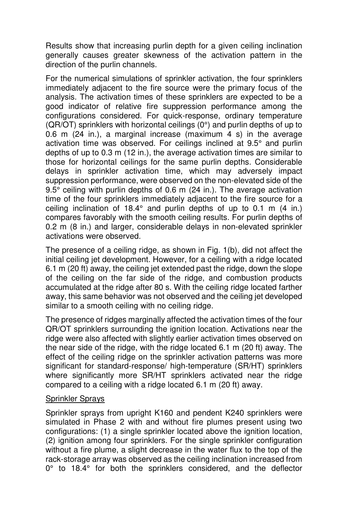Results show that increasing purlin depth for a given ceiling inclination generally causes greater skewness of the activation pattern in the direction of the purlin channels.

For the numerical simulations of sprinkler activation, the four sprinklers immediately adjacent to the fire source were the primary focus of the analysis. The activation times of these sprinklers are expected to be a good indicator of relative fire suppression performance among the configurations considered. For quick-response, ordinary temperature (QR/OT) sprinklers with horizontal ceilings (0°) and purlin depths of up to 0.6 m (24 in.), a marginal increase (maximum 4 s) in the average activation time was observed. For ceilings inclined at 9.5° and purlin depths of up to 0.3 m (12 in.), the average activation times are similar to those for horizontal ceilings for the same purlin depths. Considerable delays in sprinkler activation time, which may adversely impact suppression performance, were observed on the non-elevated side of the 9.5° ceiling with purlin depths of 0.6 m (24 in.). The average activation time of the four sprinklers immediately adjacent to the fire source for a ceiling inclination of 18.4° and purlin depths of up to 0.1 m (4 in.) compares favorably with the smooth ceiling results. For purlin depths of 0.2 m (8 in.) and larger, considerable delays in non-elevated sprinkler activations were observed.

The presence of a ceiling ridge, as shown in Fig. 1(b), did not affect the initial ceiling jet development. However, for a ceiling with a ridge located 6.1 m (20 ft) away, the ceiling jet extended past the ridge, down the slope of the ceiling on the far side of the ridge, and combustion products accumulated at the ridge after 80 s. With the ceiling ridge located farther away, this same behavior was not observed and the ceiling jet developed similar to a smooth ceiling with no ceiling ridge.

The presence of ridges marginally affected the activation times of the four QR/OT sprinklers surrounding the ignition location. Activations near the ridge were also affected with slightly earlier activation times observed on the near side of the ridge, with the ridge located 6.1 m (20 ft) away. The effect of the ceiling ridge on the sprinkler activation patterns was more significant for standard-response/ high-temperature (SR/HT) sprinklers where significantly more SR/HT sprinklers activated near the ridge compared to a ceiling with a ridge located 6.1 m (20 ft) away.

#### Sprinkler Sprays

Sprinkler sprays from upright K160 and pendent K240 sprinklers were simulated in Phase 2 with and without fire plumes present using two configurations: (1) a single sprinkler located above the ignition location, (2) ignition among four sprinklers. For the single sprinkler configuration without a fire plume, a slight decrease in the water flux to the top of the rack-storage array was observed as the ceiling inclination increased from 0° to 18.4° for both the sprinklers considered, and the deflector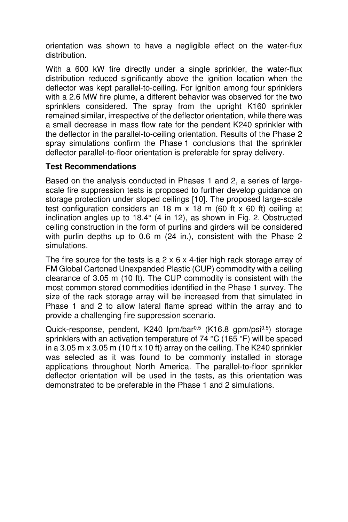orientation was shown to have a negligible effect on the water-flux distribution.

With a 600 kW fire directly under a single sprinkler, the water-flux distribution reduced significantly above the ignition location when the deflector was kept parallel-to-ceiling. For ignition among four sprinklers with a 2.6 MW fire plume, a different behavior was observed for the two sprinklers considered. The spray from the upright K160 sprinkler remained similar, irrespective of the deflector orientation, while there was a small decrease in mass flow rate for the pendent K240 sprinkler with the deflector in the parallel-to-ceiling orientation. Results of the Phase 2 spray simulations confirm the Phase 1 conclusions that the sprinkler deflector parallel-to-floor orientation is preferable for spray delivery.

### **Test Recommendations**

Based on the analysis conducted in Phases 1 and 2, a series of largescale fire suppression tests is proposed to further develop guidance on storage protection under sloped ceilings [10]. The proposed large-scale test configuration considers an 18 m  $\times$  18 m (60 ft  $\times$  60 ft) ceiling at inclination angles up to 18.4° (4 in 12), as shown in Fig. 2. Obstructed ceiling construction in the form of purlins and girders will be considered with purlin depths up to 0.6 m (24 in.), consistent with the Phase 2 simulations.

The fire source for the tests is a  $2 \times 6 \times 4$ -tier high rack storage array of FM Global Cartoned Unexpanded Plastic (CUP) commodity with a ceiling clearance of 3.05 m (10 ft). The CUP commodity is consistent with the most common stored commodities identified in the Phase 1 survey. The size of the rack storage array will be increased from that simulated in Phase 1 and 2 to allow lateral flame spread within the array and to provide a challenging fire suppression scenario.

Quick-response, pendent, K240 lpm/bar<sup>0.5</sup> (K16.8 gpm/psi<sup>0.5</sup>) storage sprinklers with an activation temperature of 74 °C (165 °F) will be spaced in a 3.05 m x 3.05 m (10 ft x 10 ft) array on the ceiling. The K240 sprinkler was selected as it was found to be commonly installed in storage applications throughout North America. The parallel-to-floor sprinkler deflector orientation will be used in the tests, as this orientation was demonstrated to be preferable in the Phase 1 and 2 simulations.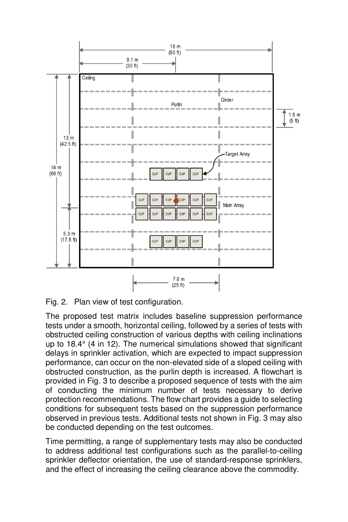

Fig. 2. Plan view of test configuration.

The proposed test matrix includes baseline suppression performance tests under a smooth, horizontal ceiling, followed by a series of tests with obstructed ceiling construction of various depths with ceiling inclinations up to 18.4° (4 in 12). The numerical simulations showed that significant delays in sprinkler activation, which are expected to impact suppression performance, can occur on the non-elevated side of a sloped ceiling with obstructed construction, as the purlin depth is increased. A flowchart is provided in Fig. 3 to describe a proposed sequence of tests with the aim of conducting the minimum number of tests necessary to derive protection recommendations. The flow chart provides a guide to selecting conditions for subsequent tests based on the suppression performance observed in previous tests. Additional tests not shown in Fig. 3 may also be conducted depending on the test outcomes.

Time permitting, a range of supplementary tests may also be conducted to address additional test configurations such as the parallel-to-ceiling sprinkler deflector orientation, the use of standard-response sprinklers, and the effect of increasing the ceiling clearance above the commodity.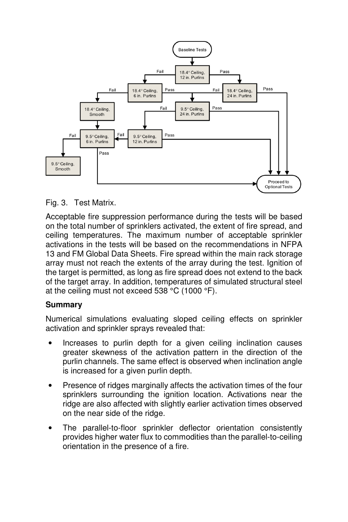

Fig. 3. Test Matrix.

Acceptable fire suppression performance during the tests will be based on the total number of sprinklers activated, the extent of fire spread, and ceiling temperatures. The maximum number of acceptable sprinkler activations in the tests will be based on the recommendations in NFPA 13 and FM Global Data Sheets. Fire spread within the main rack storage array must not reach the extents of the array during the test. Ignition of the target is permitted, as long as fire spread does not extend to the back of the target array. In addition, temperatures of simulated structural steel at the ceiling must not exceed 538 °C (1000 °F).

# **Summary**

Numerical simulations evaluating sloped ceiling effects on sprinkler activation and sprinkler sprays revealed that:

- Increases to purlin depth for a given ceiling inclination causes greater skewness of the activation pattern in the direction of the purlin channels. The same effect is observed when inclination angle is increased for a given purlin depth.
- Presence of ridges marginally affects the activation times of the four sprinklers surrounding the ignition location. Activations near the ridge are also affected with slightly earlier activation times observed on the near side of the ridge.
- The parallel-to-floor sprinkler deflector orientation consistently provides higher water flux to commodities than the parallel-to-ceiling orientation in the presence of a fire.